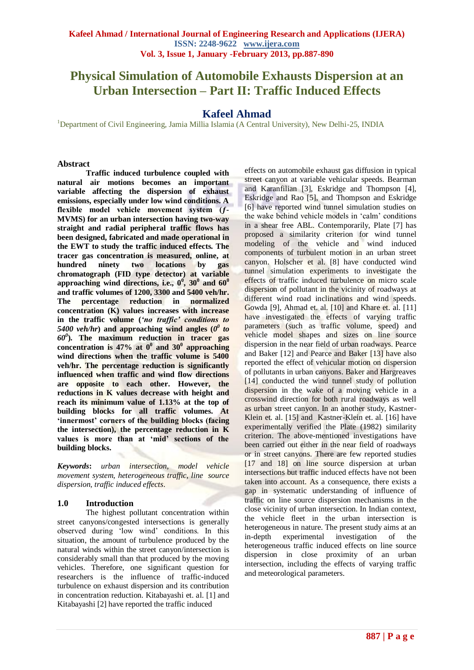# **Physical Simulation of Automobile Exhausts Dispersion at an Urban Intersection – Part II: Traffic Induced Effects**

## **Kafeel Ahmad**

<sup>1</sup>Department of Civil Engineering, Jamia Millia Islamia (A Central University), New Delhi-25, INDIA

#### **Abstract**

**Traffic induced turbulence coupled with natural air motions becomes an important variable affecting the dispersion of exhaust emissions, especially under low wind conditions. A flexible model vehicle movement system (ƒ-MVMS) for an urban intersection having two-way straight and radial peripheral traffic flows has been designed, fabricated and made operational in the EWT to study the traffic induced effects. The tracer gas concentration is measured, online, at hundred ninety two locations by chromatograph (FID type detector) at variable approaching wind directions, i.e., 0<sup>0</sup> , 30<sup>0</sup> and 60<sup>0</sup> and traffic volumes of 1200, 3300 and 5400 veh/hr. The percentage reduction in normalized concentration (K) values increases with increase in the traffic volume (***'no traffic' conditions to* 5400 veh/hr) and approaching wind angles  $(0^0$  to *60<sup>0</sup>* **). The maximum reduction in tracer gas**  concentration is  $47\%$  at  $0^0$  and  $30^0$  approaching **wind directions when the traffic volume is 5400 veh/hr. The percentage reduction is significantly influenced when traffic and wind flow directions are opposite to each other. However, the reductions in K values decrease with height and reach its minimum value of 1.13% at the top of building blocks for all traffic volumes. At 'innermost' corners of the building blocks (facing the intersection), the percentage reduction in K values is more than at 'mid' sections of the building blocks.** 

*Keywords***:** *urban intersection, model vehicle movement system, heterogeneous traffic, line source dispersion, traffic induced effects*.

## **1.0 Introduction**

The highest pollutant concentration within street canyons/congested intersections is generally observed during 'low wind' conditions. In this situation, the amount of turbulence produced by the natural winds within the street canyon/intersection is considerably small than that produced by the moving vehicles. Therefore, one significant question for researchers is the influence of traffic-induced turbulence on exhaust dispersion and its contribution in concentration reduction. Kitabayashi et. al. [1] and Kitabayashi [2] have reported the traffic induced

effects on automobile exhaust gas diffusion in typical street canyon at variable vehicular speeds. Bearman and Karanfilian [3], Eskridge and Thompson [4], Eskridge and Rao [5], and Thompson and Eskridge [6] have reported wind tunnel simulation studies on the wake behind vehicle models in 'calm' conditions in a shear free ABL. Contemporarily, Plate [7] has proposed a similarity criterion for wind tunnel modeling of the vehicle and wind induced components of turbulent motion in an urban street canyon. Holscher et al. [8] have conducted wind tunnel simulation experiments to investigate the effects of traffic induced turbulence on micro scale dispersion of pollutant in the vicinity of roadways at different wind road inclinations and wind speeds. Gowda [9], Ahmad et. al. [10] and Khare et. al. [11] have investigated the effects of varying traffic parameters (such as traffic volume, speed) and vehicle model shapes and sizes on line source dispersion in the near field of urban roadways. Pearce and Baker [12] and Pearce and Baker [13] have also reported the effect of vehicular motion on dispersion of pollutants in urban canyons. Baker and Hargreaves [14] conducted the wind tunnel study of pollution dispersion in the wake of a moving vehicle in a crosswind direction for both rural roadways as well as urban street canyon. In an another study, Kastner-Klein et. al. [15] and Kastner-Klein et. al. [16] have experimentally verified the Plate (1982) similarity criterion. The above-mentioned investigations have been carried out either in the near field of roadways or in street canyons. There are few reported studies [17 and 18] on line source dispersion at urban intersections but traffic induced effects have not been taken into account. As a consequence, there exists a gap in systematic understanding of influence of traffic on line source dispersion mechanisms in the close vicinity of urban intersection. In Indian context, the vehicle fleet in the urban intersection is heterogeneous in nature. The present study aims at an in-depth experimental investigation of the heterogeneous traffic induced effects on line source dispersion in close proximity of an urban intersection, including the effects of varying traffic and meteorological parameters.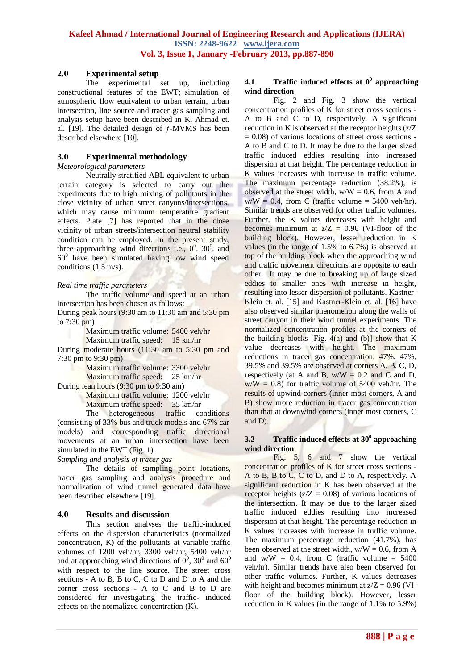## **2.0 Experimental setup**

The experimental set up, including constructional features of the EWT; simulation of atmospheric flow equivalent to urban terrain, urban intersection, line source and tracer gas sampling and analysis setup have been described in K. Ahmad et. al. [19]. The detailed design of  $f$ -MVMS has been described elsewhere [10].

## **3.0 Experimental methodology**

*Meteorological parameters*

Neutrally stratified ABL equivalent to urban terrain category is selected to carry out the experiments due to high mixing of pollutants in the close vicinity of urban street canyons/intersections, which may cause minimum temperature gradient effects. Plate [7] has reported that in the close vicinity of urban streets/intersection neutral stability condition can be employed. In the present study, three approaching wind directions i.e.,  $0^0$ ,  $30^0$ , and 60<sup>0</sup> have been simulated having low wind speed conditions (1.5 m/s).

## *Real time traffic parameters*

The traffic volume and speed at an urban intersection has been chosen as follows:

During peak hours (9:30 am to 11:30 am and 5:30 pm to 7:30 pm)

Maximum traffic volume: 5400 veh/hr

Maximum traffic speed: 15 km/hr

During moderate hours (11:30 am to 5:30 pm and 7:30 pm to 9:30 pm)

Maximum traffic volume: 3300 veh/hr Maximum traffic speed: 25 km/hr

During lean hours (9:30 pm to 9:30 am)

Maximum traffic volume: 1200 veh/hr

Maximum traffic speed: 35 km/hr

The heterogeneous traffic conditions (consisting of 33% bus and truck models and 67% car models) and corresponding traffic directional movements at an urban intersection have been simulated in the EWT (Fig. 1).

*Sampling and analysis of tracer gas*

The details of sampling point locations, tracer gas sampling and analysis procedure and normalization of wind tunnel generated data have been described elsewhere [19].

## **4.0 Results and discussion**

This section analyses the traffic-induced effects on the dispersion characteristics (normalized concentration, K) of the pollutants at variable traffic volumes of 1200 veh/hr, 3300 veh/hr, 5400 veh/hr and at approaching wind directions of  $0^0$ ,  $30^0$  and  $60^0$ with respect to the line source. The street cross sections - A to B, B to C, C to D and D to A and the corner cross sections - A to C and B to D are considered for investigating the traffic- induced effects on the normalized concentration (K).

#### **4.1 Traffic induced effects at 0<sup>0</sup> approaching wind direction**

Fig. 2 and Fig. 3 show the vertical concentration profiles of K for street cross sections - A to B and C to D, respectively. A significant reduction in K is observed at the receptor heights (z/Z  $= 0.08$ ) of various locations of street cross sections -A to B and C to D. It may be due to the larger sized traffic induced eddies resulting into increased dispersion at that height. The percentage reduction in K values increases with increase in traffic volume. The maximum percentage reduction (38.2%), is observed at the street width,  $w/W = 0.6$ , from A and  $w/W = 0.4$ , from C (traffic volume = 5400 veh/hr). Similar trends are observed for other traffic volumes. Further, the K values decreases with height and becomes minimum at  $z/Z = 0.96$  (VI-floor of the building block). However, lesser reduction in K values (in the range of 1.5% to 6.7%) is observed at top of the building block when the approaching wind and traffic movement directions are opposite to each other. It may be due to breaking up of large sized eddies to smaller ones with increase in height, resulting into lesser dispersion of pollutants. Kastner-Klein et. al. [15] and Kastner-Klein et. al. [16] have also observed similar phenomenon along the walls of street canyon in their wind tunnel experiments. The normalized concentration profiles at the corners of the building blocks [Fig.  $4(a)$  and (b)] show that K value decreases with height. The maximum reductions in tracer gas concentration, 47%, 47%, 39.5% and 39.5% are observed at corners A, B, C, D, respectively (at A and B,  $w/W = 0.2$  and C and D,  $w/W = 0.8$ ) for traffic volume of 5400 veh/hr. The results of upwind corners (inner most corners, A and B) show more reduction in tracer gas concentration than that at downwind corners (inner most corners, C and D).

#### **3.2 Traffic induced effects at 30<sup>0</sup> approaching wind direction**

Fig. 5, 6 and 7 show the vertical concentration profiles of K for street cross sections - A to B, B to C, C to D, and D to A, respectively. A significant reduction in K has been observed at the receptor heights ( $z/Z = 0.08$ ) of various locations of the intersection. It may be due to the larger sized traffic induced eddies resulting into increased dispersion at that height. The percentage reduction in K values increases with increase in traffic volume. The maximum percentage reduction (41.7%), has been observed at the street width,  $w/W = 0.6$ , from A and  $w/W = 0.4$ , from C (traffic volume = 5400) veh/hr). Similar trends have also been observed for other traffic volumes. Further, K values decreases with height and becomes minimum at  $z/Z = 0.96$  (VIfloor of the building block). However, lesser reduction in K values (in the range of 1.1% to 5.9%)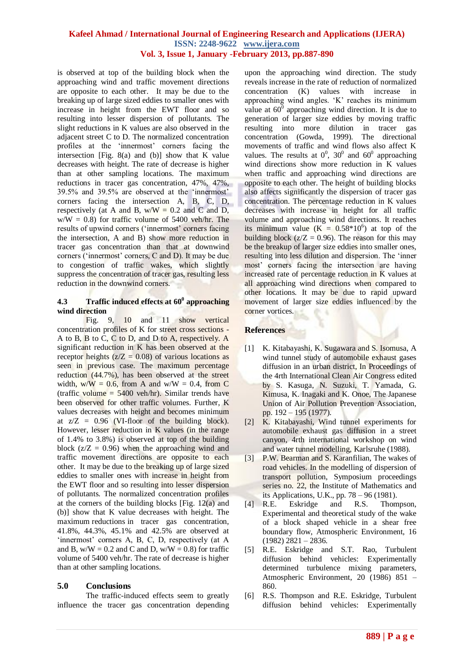#### **Kafeel Ahmad / International Journal of Engineering Research and Applications (IJERA) ISSN: 2248-9622 www.ijera.com Vol. 3, Issue 1, January -February 2013, pp.887-890**

is observed at top of the building block when the approaching wind and traffic movement directions are opposite to each other. It may be due to the breaking up of large sized eddies to smaller ones with increase in height from the EWT floor and so resulting into lesser dispersion of pollutants. The slight reductions in K values are also observed in the adjacent street C to D. The normalized concentration profiles at the 'innermost' corners facing the intersection [Fig. 8(a) and (b)] show that K value decreases with height. The rate of decrease is higher than at other sampling locations. The maximum reductions in tracer gas concentration, 47%, 47%, 39.5% and 39.5% are observed at the 'innermost' corners facing the intersection A, B, C, D, respectively (at A and B,  $w/W = 0.2$  and C and D,  $w/W = 0.8$ ) for traffic volume of 5400 veh/hr. The results of upwind corners ('innermost' corners facing the intersection, A and B) show more reduction in tracer gas concentration than that at downwind corners ('innermost' corners, C and D). It may be due to congestion of traffic wakes, which slightly suppress the concentration of tracer gas, resulting less reduction in the downwind corners.

#### **4.3 Traffic induced effects at 60<sup>0</sup> approaching wind direction**

Fig. 9, 10 and 11 show vertical concentration profiles of K for street cross sections - A to B, B to C, C to D, and D to A, respectively. A significant reduction in K has been observed at the receptor heights ( $z/Z = 0.08$ ) of various locations as seen in previous case. The maximum percentage reduction (44.7%), has been observed at the street width,  $w/W = 0.6$ , from A and  $w/W = 0.4$ , from C (traffic volume  $= 5400$  veh/hr). Similar trends have been observed for other traffic volumes. Further, K values decreases with height and becomes minimum at  $z/Z = 0.96$  (VI-floor of the building block). However, lesser reduction in K values (in the range of 1.4% to 3.8%) is observed at top of the building block  $(z/Z = 0.96)$  when the approaching wind and traffic movement directions are opposite to each other. It may be due to the breaking up of large sized eddies to smaller ones with increase in height from the EWT floor and so resulting into lesser dispersion of pollutants. The normalized concentration profiles at the corners of the building blocks [Fig. 12(a) and (b)] show that K value decreases with height. The maximum reductions in tracer gas concentration, 41.8%, 44.3%, 45.1% and 42.5% are observed at 'innermost' corners A, B, C, D, respectively (at A and B,  $w/W = 0.2$  and C and D,  $w/W = 0.8$ ) for traffic volume of 5400 veh/hr. The rate of decrease is higher than at other sampling locations.

## **5.0 Conclusions**

The traffic-induced effects seem to greatly influence the tracer gas concentration depending

upon the approaching wind direction. The study reveals increase in the rate of reduction of normalized concentration (K) values with increase in approaching wind angles. 'K' reaches its minimum value at  $60^{\overline{0}}$  approaching wind direction. It is due to generation of larger size eddies by moving traffic resulting into more dilution in tracer gas concentration (Gowda, 1999). The directional movements of traffic and wind flows also affect K values. The results at  $0^0$ ,  $30^0$  and  $60^0$  approaching wind directions show more reduction in K values when traffic and approaching wind directions are opposite to each other. The height of building blocks also affects significantly the dispersion of tracer gas concentration. The percentage reduction in K values decreases with increase in height for all traffic volume and approaching wind directions. It reaches its minimum value  $(K = 0.58*10^6)$  at top of the building block  $(z/Z = 0.96)$ . The reason for this may be the breakup of larger size eddies into smaller ones, resulting into less dilution and dispersion. The 'inner most' corners facing the intersection are having increased rate of percentage reduction in K values at all approaching wind directions when compared to other locations. It may be due to rapid upward movement of larger size eddies influenced by the corner vortices.

## **References**

- [1] K. Kitabayashi, K. Sugawara and S. Isomusa, A wind tunnel study of automobile exhaust gases diffusion in an urban district, In Proceedings of the 4rth International Clean Air Congress edited by S. Kasuga, N. Suzuki, T. Yamada, G. Kimusa, K. Inagaki and K. Onoe, The Japanese Union of Air Pollution Prevention Association, pp. 192 – 195 (1977).
- [2] K. Kitabayashi, Wind tunnel experiments for automobile exhaust gas diffusion in a street canyon, 4rth international workshop on wind and water tunnel modelling, Karlsruhe (1988).
- [3] P.W. Bearman and S. Karanfilian, The wakes of road vehicles. In the modelling of dispersion of transport pollution, Symposium proceedings series no. 22, the Institute of Mathematics and its Applications, U.K., pp.  $78 - 96$  (1981).<br>[4] R.E. Eskridge and R.S. Thom
- Eskridge and R.S. Thompson, Experimental and theoretical study of the wake of a block shaped vehicle in a shear free boundary flow, Atmospheric Environment, 16  $(1982)$  2821 – 2836.
- [5] R.E. Eskridge and S.T. Rao, Turbulent diffusion behind vehicles: Experimentally determined turbulence mixing parameters, Atmospheric Environment, 20 (1986) 851 – 860.
- [6] R.S. Thompson and R.E. Eskridge, Turbulent diffusion behind vehicles: Experimentally